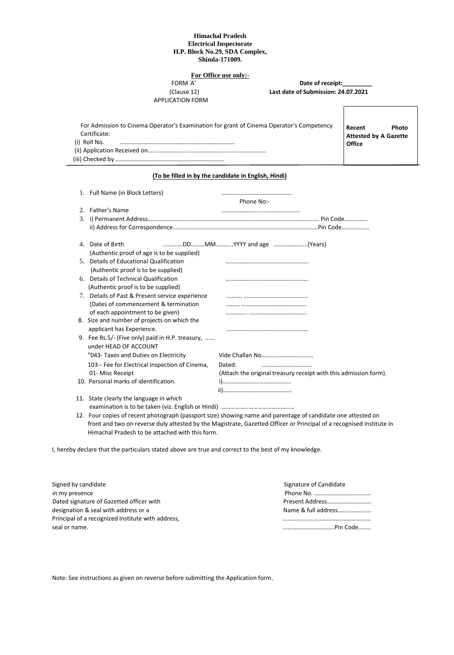## **Himachal Pradesh Electrical Inspectorate H.P. Block No.29, SDA Complex, Shimla-171009.**

## **FORM A' FORM A'**

APPLICATION FORM

**Date of receipt:** (Clause 12) **Last date of Submission: 24.07.2021**

|              | For Admission to Cinema Operator's Examination for grant of Cinema Operator's Competency |  |
|--------------|------------------------------------------------------------------------------------------|--|
| Certificate: |                                                                                          |  |
| (i) Roll No. |                                                                                          |  |
|              |                                                                                          |  |
|              |                                                                                          |  |

**Recent Photo Attested by A Gazette Office**

## **(To be filled in by the candidate in English, Hindi)**

| 1. Full Name (in Block Letters)                  | Phone No:-                                                       |
|--------------------------------------------------|------------------------------------------------------------------|
| 2. Father's Name                                 |                                                                  |
|                                                  |                                                                  |
|                                                  |                                                                  |
| 4. Date of Birth                                 |                                                                  |
| (Authentic proof of age is to be supplied)       |                                                                  |
| 5. Details of Educational Qualification          |                                                                  |
| (Authentic proof is to be supplied)              |                                                                  |
| 6. Details of Technical Qualification            |                                                                  |
| (Authentic proof is to be supplied)              |                                                                  |
| 7. Details of Past & Present service experience  |                                                                  |
| (Dates of commencement & termination             |                                                                  |
| of each appointment to be given)                 |                                                                  |
| 8. Size and number of projects on which the      |                                                                  |
| applicant has Experience.                        |                                                                  |
| 9. Fee Rs.5/- (Five only) paid in H.P. treasury, |                                                                  |
| under HEAD OF ACCOUNT                            |                                                                  |
| "043- Taxes and Duties on Electricity            |                                                                  |
| 103-- Fee for Electrical Inspection of Cinema,   | Dated:<br>                                                       |
| 01- Misc Receipt                                 | (Attach the original treasury receipt with this admission form). |
| 10. Personal marks of identification.            |                                                                  |
|                                                  |                                                                  |
| 11. State clearly the language in which          |                                                                  |
|                                                  |                                                                  |

 12. Four copies of recent photograph (passport size) showing name and parentage of candidate one attested on front and two on reverse duly attested by the Magistrate, Gazetted Officer or Principal of a recognised institute in Himachal Pradesh to be attached with this form.

I, hereby declare that the particulars stated above are true and correct to the best of my knowledge.

| Signed by candidate                               | Signature of Candidate |
|---------------------------------------------------|------------------------|
| in my presence                                    |                        |
| Dated signature of Gazetted officer with          | Present Address        |
| designation & seal with address or a              | Name & full address    |
| Principal of a recognized Institute with address, |                        |
| seal or name.                                     | . Pin Code<br>         |

Note: See instructions as given on reverse before submitting the Application form.